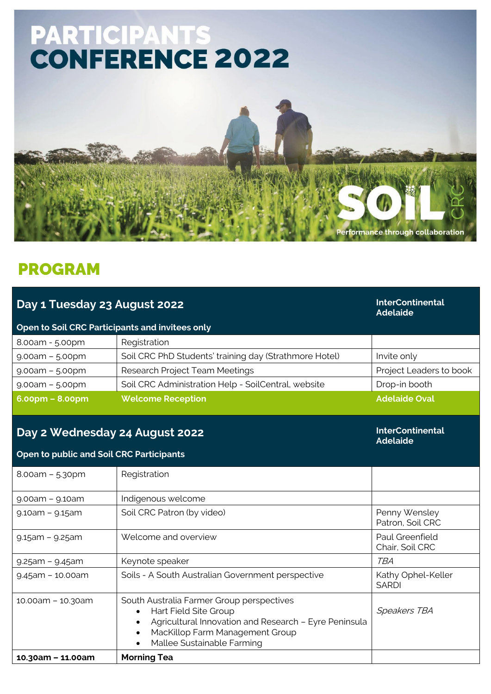

## PROGRAM

| Day 1 Tuesday 23 August 2022                    | <b>InterContinental</b><br><b>Adelaide</b>                                                                                                                                                                             |                                    |  |  |
|-------------------------------------------------|------------------------------------------------------------------------------------------------------------------------------------------------------------------------------------------------------------------------|------------------------------------|--|--|
| Open to Soil CRC Participants and invitees only |                                                                                                                                                                                                                        |                                    |  |  |
| 8.00am - 5.00pm                                 | Registration                                                                                                                                                                                                           |                                    |  |  |
| $9.00am - 5.00pm$                               | Soil CRC PhD Students' training day (Strathmore Hotel)                                                                                                                                                                 | Invite only                        |  |  |
| $9.00am - 5.00pm$                               | Research Project Team Meetings                                                                                                                                                                                         | Project Leaders to book            |  |  |
| $9.00am - 5.00pm$                               | Soil CRC Administration Help - SoilCentral, website                                                                                                                                                                    | Drop-in booth                      |  |  |
| $6.00pm - 8.00pm$                               | <b>Welcome Reception</b>                                                                                                                                                                                               | <b>Adelaide Oval</b>               |  |  |
| Day 2 Wednesday 24 August 2022                  | <b>InterContinental</b><br><b>Adelaide</b>                                                                                                                                                                             |                                    |  |  |
| <b>Open to public and Soil CRC Participants</b> |                                                                                                                                                                                                                        |                                    |  |  |
| $8.00am - 5.30pm$                               | Registration                                                                                                                                                                                                           |                                    |  |  |
| $9.00am - 9.10am$                               | Indigenous welcome                                                                                                                                                                                                     |                                    |  |  |
| 9.10am - 9.15am                                 | Soil CRC Patron (by video)                                                                                                                                                                                             | Penny Wensley<br>Patron, Soil CRC  |  |  |
| $9.15$ am – $9.25$ am                           | Welcome and overview                                                                                                                                                                                                   | Paul Greenfield<br>Chair, Soil CRC |  |  |
| $9.25$ am – $9.45$ am                           | Keynote speaker                                                                                                                                                                                                        | <b>TBA</b>                         |  |  |
| $9.45$ am - 10.00am                             | Soils - A South Australian Government perspective                                                                                                                                                                      | Kathy Ophel-Keller<br><b>SARDI</b> |  |  |
| 10.00am - 10.30am                               | South Australia Farmer Group perspectives<br>Hart Field Site Group<br>$\bullet$<br>Agricultural Innovation and Research - Eyre Peninsula<br>$\bullet$<br>MacKillop Farm Management Group<br>Mallee Sustainable Farming | <b>Speakers TBA</b>                |  |  |
| 10.30am - 11.00am                               | <b>Morning Tea</b>                                                                                                                                                                                                     |                                    |  |  |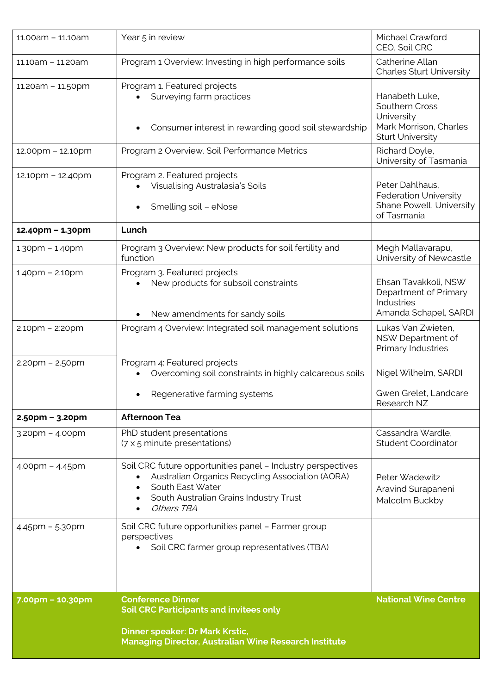|                       | <b>Dinner speaker: Dr Mark Krstic,</b><br><b>Managing Director, Australian Wine Research Institute</b>                                                                                                   |                                                                                   |
|-----------------------|----------------------------------------------------------------------------------------------------------------------------------------------------------------------------------------------------------|-----------------------------------------------------------------------------------|
| 7.00pm - 10.30pm      | <b>Conference Dinner</b><br><b>Soil CRC Participants and invitees only</b>                                                                                                                               | <b>National Wine Centre</b>                                                       |
|                       | Soil CRC farmer group representatives (TBA)                                                                                                                                                              |                                                                                   |
| $4.45$ pm – 5.30pm    | Soil CRC future opportunities panel - Farmer group<br>perspectives                                                                                                                                       |                                                                                   |
| $4.00$ pm - $4.45$ pm | Soil CRC future opportunities panel - Industry perspectives<br>Australian Organics Recycling Association (AORA)<br>South East Water<br>$\bullet$<br>South Australian Grains Industry Trust<br>Others TBA | Peter Wadewitz<br>Aravind Surapaneni<br>Malcolm Buckby                            |
| 3.20pm - 4.00pm       | PhD student presentations<br>(7 x 5 minute presentations)                                                                                                                                                | Cassandra Wardle.<br><b>Student Coordinator</b>                                   |
| $2.50$ pm – 3.20pm    | <b>Afternoon Tea</b>                                                                                                                                                                                     |                                                                                   |
|                       | Regenerative farming systems                                                                                                                                                                             | Gwen Grelet, Landcare<br>Research NZ                                              |
| $2.20$ pm – $2.50$ pm | Program 4: Featured projects<br>Overcoming soil constraints in highly calcareous soils                                                                                                                   | Nigel Wilhelm, SARDI                                                              |
| 2.10pm - 2:20pm       | Program 4 Overview: Integrated soil management solutions                                                                                                                                                 | Lukas Van Zwieten,<br>NSW Department of<br>Primary Industries                     |
|                       | New amendments for sandy soils                                                                                                                                                                           | Department of Primary<br><b>Industries</b><br>Amanda Schapel, SARDI               |
| $1.40$ pm - $2.10$ pm | Program 3. Featured projects<br>New products for subsoil constraints                                                                                                                                     | Ehsan Tavakkoli, NSW                                                              |
| $1.30$ pm - $1.40$ pm | Program 3 Overview: New products for soil fertility and<br>function                                                                                                                                      | Megh Mallavarapu,<br>University of Newcastle                                      |
| 12.40pm - 1.30pm      | Lunch                                                                                                                                                                                                    |                                                                                   |
|                       | Smelling soil - eNose                                                                                                                                                                                    | <b>Federation University</b><br>Shane Powell, University<br>of Tasmania           |
| 12.10pm - 12.40pm     | Program 2. Featured projects<br>Visualising Australasia's Soils                                                                                                                                          | Peter Dahlhaus,                                                                   |
| 12.00pm - 12.10pm     | Program 2 Overview. Soil Performance Metrics                                                                                                                                                             | Richard Doyle,<br>University of Tasmania                                          |
|                       | Consumer interest in rewarding good soil stewardship                                                                                                                                                     | Southern Cross<br>University<br>Mark Morrison, Charles<br><b>Sturt University</b> |
| 11.20am - 11.50pm     | Program 1. Featured projects<br>Surveying farm practices                                                                                                                                                 | Hanabeth Luke,                                                                    |
| 11.10am - 11.20am     | Program 1 Overview: Investing in high performance soils                                                                                                                                                  | Catherine Allan<br><b>Charles Sturt University</b>                                |
| 11.00am - 11.10am     | Year 5 in review                                                                                                                                                                                         | Michael Crawford<br>CEO, Soil CRC                                                 |